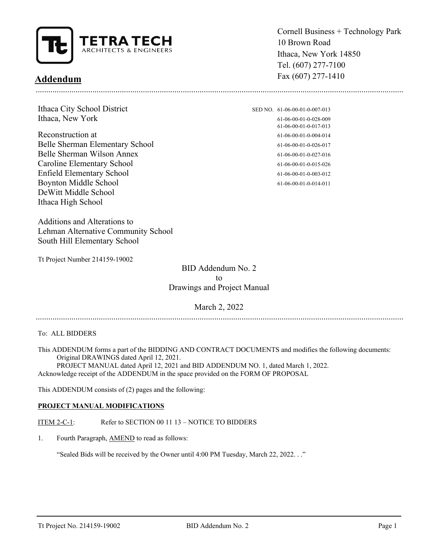

# **Addendum**

Ithaca City School District SED NO. 61-06-00-01-0-007-013 Ithaca, New York 61-06-00-01-0-028-009

Reconstruction at  $61-06-00-01-0-004-014$ Belle Sherman Elementary School 61-06-00-01-0-026-017 Belle Sherman Wilson Annex 61-06-00-01-0-027-016 Caroline Elementary School 61-06-00-01-0-015-026 Enfield Elementary School 61-06-00-01-0-003-012 Boynton Middle School 61-06-00-01-0-014-011 DeWitt Middle School Ithaca High School

Additions and Alterations to Lehman Alternative Community School South Hill Elementary School

Tt Project Number 214159-19002

Cornell Business + Technology Park 10 Brown Road Ithaca, New York 14850 Tel. (607) 277-7100 Fax (607) 277-1410

61-06-00-01-0-017-013

...............................................................................................................................................................................

BID Addendum No. 2 to Drawings and Project Manual

### March 2, 2022

...............................................................................................................................................................................

To: ALL BIDDERS

This ADDENDUM forms a part of the BIDDING AND CONTRACT DOCUMENTS and modifies the following documents: Original DRAWINGS dated April 12, 2021.

 PROJECT MANUAL dated April 12, 2021 and BID ADDENDUM NO. 1, dated March 1, 2022. Acknowledge receipt of the ADDENDUM in the space provided on the FORM OF PROPOSAL

This ADDENDUM consists of (2) pages and the following:

#### **PROJECT MANUAL MODIFICATIONS**

ITEM 2-C-1: Refer to SECTION 00 11 13 – NOTICE TO BIDDERS

1. Fourth Paragraph, AMEND to read as follows:

"Sealed Bids will be received by the Owner until 4:00 PM Tuesday, March 22, 2022. . ."